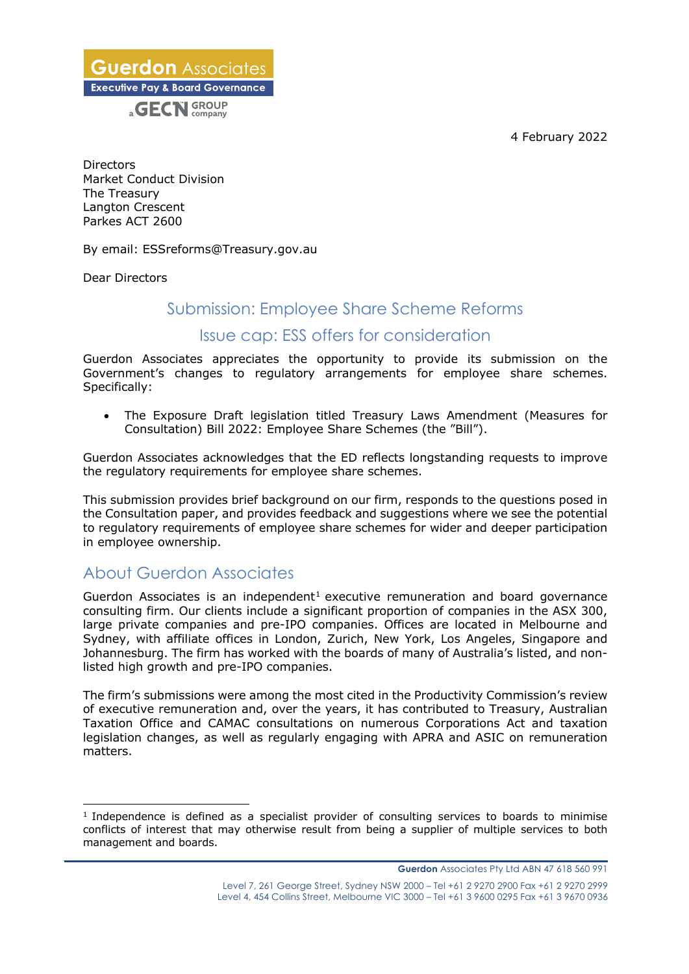4 February 2022

**Guerdon** Associates **Executive Pay & Board Governance** a **GECN** GROUP

Directors Market Conduct Division The Treasury Langton Crescent Parkes ACT 2600

By email: ESSreforms@Treasury.gov.au

Dear Directors

## Submission: Employee Share Scheme Reforms

### Issue cap: ESS offers for consideration

Guerdon Associates appreciates the opportunity to provide its submission on the Government's changes to regulatory arrangements for employee share schemes. Specifically:

• The Exposure Draft legislation titled Treasury Laws Amendment (Measures for Consultation) Bill 2022: Employee Share Schemes (the "Bill").

Guerdon Associates acknowledges that the ED reflects longstanding requests to improve the regulatory requirements for employee share schemes.

This submission provides brief background on our firm, responds to the questions posed in the Consultation paper, and provides feedback and suggestions where we see the potential to regulatory requirements of employee share schemes for wider and deeper participation in employee ownership.

# About Guerdon Associates

Guerdon Associates is an independent<sup>1</sup> executive remuneration and board governance consulting firm. Our clients include a significant proportion of companies in the ASX 300, large private companies and pre-IPO companies. Offices are located in Melbourne and Sydney, with affiliate offices in London, Zurich, New York, Los Angeles, Singapore and Johannesburg. The firm has worked with the boards of many of Australia's listed, and nonlisted high growth and pre-IPO companies.

The firm's submissions were among the most cited in the Productivity Commission's review of executive remuneration and, over the years, it has contributed to Treasury, Australian Taxation Office and CAMAC consultations on numerous Corporations Act and taxation legislation changes, as well as regularly engaging with APRA and ASIC on remuneration matters.

**\_\_\_\_\_\_\_\_\_\_\_\_\_\_\_\_\_\_\_\_\_\_\_\_\_\_\_\_\_\_\_\_\_\_\_\_\_\_\_\_\_\_\_\_\_\_\_\_\_\_\_\_\_\_\_\_\_\_\_\_\_\_\_\_\_\_\_\_\_\_\_\_\_\_\_\_\_\_\_\_\_\_\_\_\_\_\_\_\_\_\_\_\_\_**

<sup>&</sup>lt;sup>1</sup> Independence is defined as a specialist provider of consulting services to boards to minimise conflicts of interest that may otherwise result from being a supplier of multiple services to both management and boards.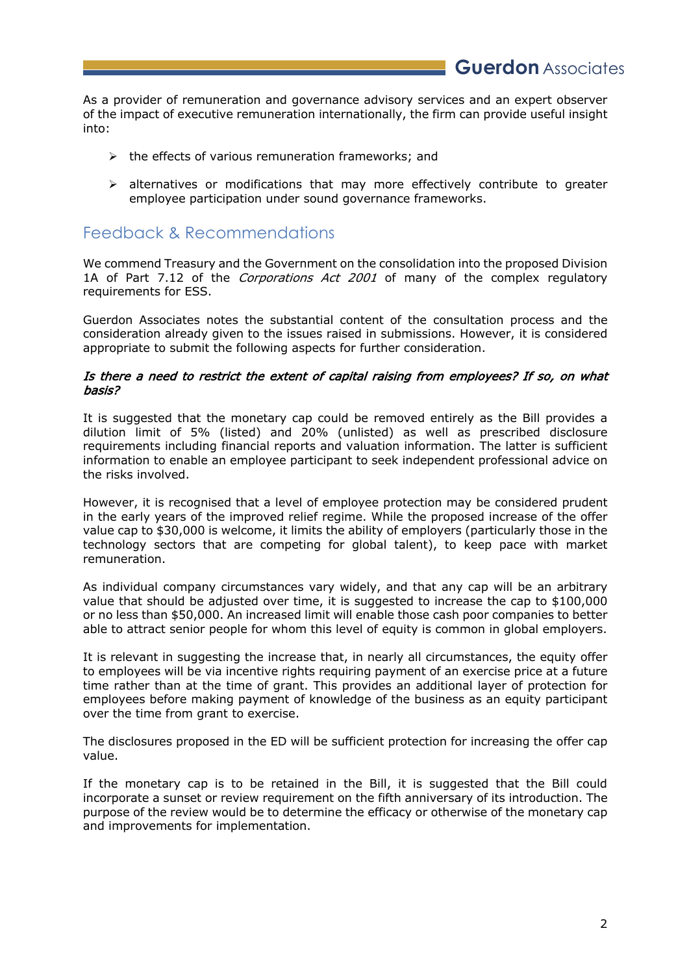As a provider of remuneration and governance advisory services and an expert observer of the impact of executive remuneration internationally, the firm can provide useful insight into:

- $\triangleright$  the effects of various remuneration frameworks; and
- $\triangleright$  alternatives or modifications that may more effectively contribute to greater employee participation under sound governance frameworks.

# Feedback & Recommendations

We commend Treasury and the Government on the consolidation into the proposed Division 1A of Part 7.12 of the Corporations Act 2001 of many of the complex regulatory requirements for ESS.

Guerdon Associates notes the substantial content of the consultation process and the consideration already given to the issues raised in submissions. However, it is considered appropriate to submit the following aspects for further consideration.

#### Is there a need to restrict the extent of capital raising from employees? If so, on what basis?

It is suggested that the monetary cap could be removed entirely as the Bill provides a dilution limit of 5% (listed) and 20% (unlisted) as well as prescribed disclosure requirements including financial reports and valuation information. The latter is sufficient information to enable an employee participant to seek independent professional advice on the risks involved.

However, it is recognised that a level of employee protection may be considered prudent in the early years of the improved relief regime. While the proposed increase of the offer value cap to \$30,000 is welcome, it limits the ability of employers (particularly those in the technology sectors that are competing for global talent), to keep pace with market remuneration.

As individual company circumstances vary widely, and that any cap will be an arbitrary value that should be adjusted over time, it is suggested to increase the cap to \$100,000 or no less than \$50,000. An increased limit will enable those cash poor companies to better able to attract senior people for whom this level of equity is common in global employers.

It is relevant in suggesting the increase that, in nearly all circumstances, the equity offer to employees will be via incentive rights requiring payment of an exercise price at a future time rather than at the time of grant. This provides an additional layer of protection for employees before making payment of knowledge of the business as an equity participant over the time from grant to exercise.

The disclosures proposed in the ED will be sufficient protection for increasing the offer cap value.

If the monetary cap is to be retained in the Bill, it is suggested that the Bill could incorporate a sunset or review requirement on the fifth anniversary of its introduction. The purpose of the review would be to determine the efficacy or otherwise of the monetary cap and improvements for implementation.